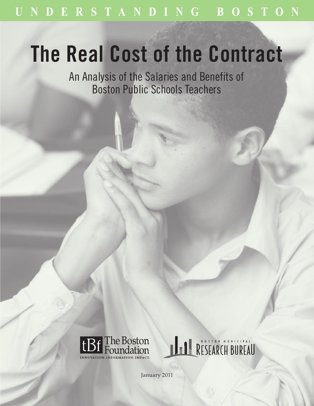# **The Real Cost of the Contract**

An Analysis of the Salaries and Benefits of Boston Public Schools Teachers





January 2011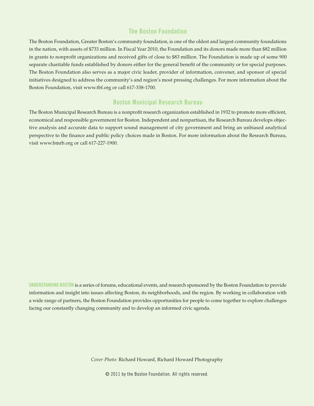## **The Boston Foundation**

The Boston Foundation, Greater Boston's community foundation, is one of the oldest and largest community foundations in the nation, with assets of \$733 million. In Fiscal Year 2010, the Foundation and its donors made more than \$82 million in grants to nonprofit organizations and received gifts of close to \$83 million. The Foundation is made up of some 900 separate charitable funds established by donors either for the general benefit of the community or for special purposes. The Boston Foundation also serves as a major civic leader, provider of information, convener, and sponsor of special initiatives designed to address the community's and region's most pressing challenges. For more information about the Boston Foundation, visit www.tbf.org or call 617-338-1700.

## **Boston Municipal Research Bureau**

The Boston Municipal Research Bureau is a nonprofit research organization established in 1932 to promote more efficient, economical and responsible government for Boston. Independent and nonpartisan, the Research Bureau develops objective analysis and accurate data to support sound management of city government and bring an unbiased analytical perspective to the finance and public policy choices made in Boston. For more information about the Research Bureau, visit www.bmrb.org or call 617-227-1900.

**UNDERSTANDING BOSTON** is a series of forums, educational events, and research sponsored by the Boston Foundation to provide information and insight into issues affecting Boston, its neighborhoods, and the region. By working in collaboration with a wide range of partners, the Boston Foundation provides opportunities for people to come together to explore challenges facing our constantly changing community and to develop an informed civic agenda.

*Cover Photo:* Richard Howard, Richard Howard Photography

© 2011 by the Boston Foundation. All rights reserved.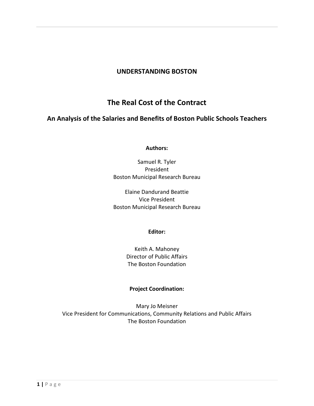## **UNDERSTANDING BOSTON**

# **The Real Cost of the Contract**

## **An Analysis of the Salaries and Benefits of Boston Public Schools Teachers**

#### **Authors:**

Samuel R. Tyler President Boston Municipal Research Bureau

Elaine Dandurand Beattie Vice President Boston Municipal Research Bureau

#### **Editor:**

Keith A. Mahoney Director of Public Affairs The Boston Foundation

## **Project Coordination:**

Mary Jo Meisner Vice President for Communications, Community Relations and Public Affairs The Boston Foundation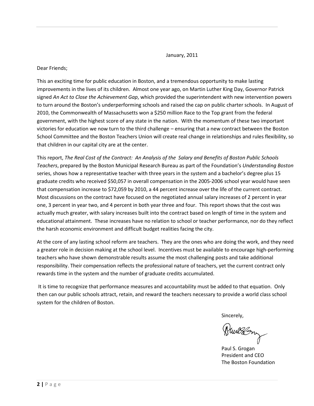January, 2011

#### Dear Friends;

This an exciting time for public education in Boston, and a tremendous opportunity to make lasting improvements in the lives of its children. Almost one year ago, on Martin Luther King Day, Governor Patrick signed *An Act to Close the Achievement Gap*, which provided the superintendent with new intervention powers to turn around the Boston's underperforming schools and raised the cap on public charter schools. In August of 2010, the Commonwealth of Massachusetts won a \$250 million Race to the Top grant from the federal government, with the highest score of any state in the nation. With the momentum of these two important victories for education we now turn to the third challenge – ensuring that a new contract between the Boston School Committee and the Boston Teachers Union will create real change in relationships and rules flexibility, so that children in our capital city are at the center.

This report, *The Real Cost of the Contract: An Analysis of the Salary and Benefits of Boston Public Schools Teachers*, prepared by the Boston Municipal Research Bureau as part of the Foundation's *Understanding Boston* series, shows how a representative teacher with three years in the system and a bachelor's degree plus 15 graduate credits who received \$50,057 in overall compensation in the 2005-2006 school year would have seen that compensation increase to \$72,059 by 2010, a 44 percent increase over the life of the current contract. Most discussions on the contract have focused on the negotiated annual salary increases of 2 percent in year one, 3 percent in year two, and 4 percent in both year three and four. This report shows that the cost was actually much greater, with salary increases built into the contract based on length of time in the system and educational attainment. These increases have no relation to school or teacher performance, nor do they reflect the harsh economic environment and difficult budget realities facing the city.

At the core of any lasting school reform are teachers. They are the ones who are doing the work, and they need a greater role in decision making at the school level. Incentives must be available to encourage high-performing teachers who have shown demonstrable results assume the most challenging posts and take additional responsibility. Their compensation reflects the professional nature of teachers, yet the current contract only rewards time in the system and the number of graduate credits accumulated.

It is time to recognize that performance measures and accountability must be added to that equation. Only then can our public schools attract, retain, and reward the teachers necessary to provide a world class school system for the children of Boston.

Sincerely,

Puilson

Paul S. Grogan President and CEO The Boston Foundation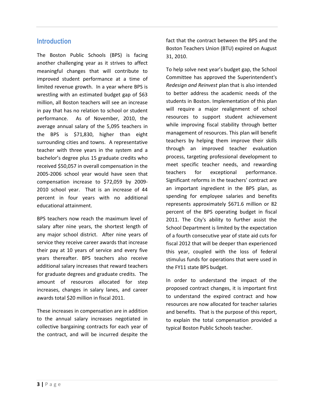## **Introduction**

The Boston Public Schools (BPS) is facing another challenging year as it strives to affect meaningful changes that will contribute to improved student performance at a time of limited revenue growth. In a year where BPS is wrestling with an estimated budget gap of \$63 million, all Boston teachers will see an increase in pay that has no relation to school or student performance. As of November, 2010, the average annual salary of the 5,095 teachers in the BPS is \$71,830, higher than eight surrounding cities and towns. A representative teacher with three years in the system and a bachelor's degree plus 15 graduate credits who received \$50,057 in overall compensation in the 2005-2006 school year would have seen that compensation increase to \$72,059 by 2009- 2010 school year. That is an increase of 44 percent in four years with no additional educational attainment.

BPS teachers now reach the maximum level of salary after nine years, the shortest length of any major school district. After nine years of service they receive career awards that increase their pay at 10 years of service and every five years thereafter. BPS teachers also receive additional salary increases that reward teachers for graduate degrees and graduate credits. The amount of resources allocated for step increases, changes in salary lanes, and career awards total \$20 million in fiscal 2011.

These increases in compensation are in addition to the annual salary increases negotiated in collective bargaining contracts for each year of the contract, and will be incurred despite the fact that the contract between the BPS and the Boston Teachers Union (BTU) expired on August 31, 2010.

To help solve next year's budget gap, the School Committee has approved the Superintendent's *Redesign and Reinvest* plan that is also intended to better address the academic needs of the students in Boston. Implementation of this plan will require a major realignment of school resources to support student achievement while improving fiscal stability through better management of resources. This plan will benefit teachers by helping them improve their skills through an improved teacher evaluation process, targeting professional development to meet specific teacher needs, and rewarding teachers for exceptional performance. Significant reforms in the teachers' contract are an important ingredient in the BPS plan, as spending for employee salaries and benefits represents approximately \$671.6 million or 82 percent of the BPS operating budget in fiscal 2011. The City's ability to further assist the School Department is limited by the expectation of a fourth consecutive year of state aid cuts for fiscal 2012 that will be deeper than experienced this year, coupled with the loss of federal stimulus funds for operations that were used in the FY11 state BPS budget.

In order to understand the impact of the proposed contract changes, it is important first to understand the expired contract and how resources are now allocated for teacher salaries and benefits. That is the purpose of this report, to explain the total compensation provided a typical Boston Public Schools teacher.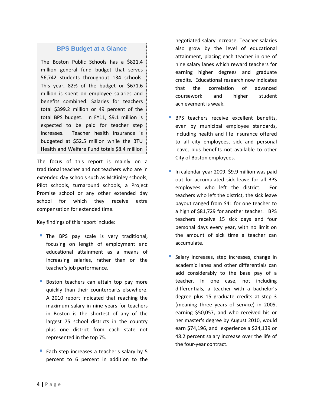#### **BPS Budget at a Glance**

The Boston Public Schools has a \$821.4 million general fund budget that serves 56,742 students throughout 134 schools. This year, 82% of the budget or \$671.6 million is spent on employee salaries and benefits combined. Salaries for teachers total \$399.2 million or 49 percent of the total BPS budget. In FY11, \$9.1 million is expected to be paid for teacher step increases. Teacher health insurance is budgeted at \$52.5 million while the BTU Health and Welfare Fund totals \$8.4 million

The focus of this report is mainly on a traditional teacher and not teachers who are in extended day schools such as McKinley schools, Pilot schools, turnaround schools, a Project Promise school or any other extended day school for which they receive extra compensation for extended time. in fiscal 2011.

Key findings of this report include:

- The BPS pay scale is very traditional, focusing on length of employment and educational attainment as a means of increasing salaries, rather than on the teacher's job performance.
- **Boston teachers can attain top pay more** quickly than their counterparts elsewhere. A 2010 report indicated that reaching the maximum salary in nine years for teachers in Boston is the shortest of any of the largest 75 school districts in the country plus one district from each state not represented in the top 75.
- Each step increases a teacher's salary by 5 percent to 6 percent in addition to the

negotiated salary increase. Teacher salaries also grow by the level of educational attainment, placing each teacher in one of nine salary lanes which reward teachers for earning higher degrees and graduate credits. Educational research now indicates that the correlation of advanced coursework and higher student achievement is weak.

- **BPS** teachers receive excellent benefits, even by municipal employee standards, including health and life insurance offered to all city employees, sick and personal leave, plus benefits not available to other City of Boston employees.
- In calendar year 2009, \$9.9 million was paid out for accumulated sick leave for all BPS employees who left the district. For teachers who left the district, the sick leave payout ranged from \$41 for one teacher to a high of \$81,729 for another teacher. BPS teachers receive 15 sick days and four personal days every year, with no limit on the amount of sick time a teacher can accumulate.
- Salary increases, step increases, change in academic lanes and other differentials can add considerably to the base pay of a teacher. In one case, not including differentials, a teacher with a bachelor's degree plus 15 graduate credits at step 3 (meaning three years of service) in 2005, earning \$50,057, and who received his or her master's degree by August 2010, would earn \$74,196, and experience a \$24,139 or 48.2 percent salary increase over the life of the four-year contract.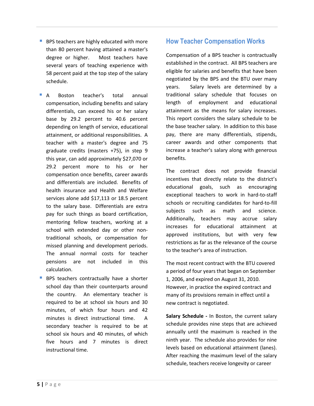- **BPS teachers are highly educated with more** than 80 percent having attained a master's degree or higher. Most teachers have several years of teaching experience with 58 percent paid at the top step of the salary schedule.
- A Boston teacher's total annual compensation, including benefits and salary differentials, can exceed his or her salary base by 29.2 percent to 40.6 percent depending on length of service, educational attainment, or additional responsibilities. A teacher with a master's degree and 75 graduate credits (masters +75), in step 9 this year, can add approximately \$27,070 or 29.2 percent more to his or her compensation once benefits, career awards and differentials are included. Benefits of health insurance and Health and Welfare services alone add \$17,113 or 18.5 percent to the salary base. Differentials are extra pay for such things as board certification, mentoring fellow teachers, working at a school with extended day or other nontraditional schools, or compensation for missed planning and development periods. The annual normal costs for teacher pensions are not included in this calculation.
- **BPS** teachers contractually have a shorter school day than their counterparts around the country. An elementary teacher is required to be at school six hours and 30 minutes, of which four hours and 42 minutes is direct instructional time. A secondary teacher is required to be at school six hours and 40 minutes, of which five hours and 7 minutes is direct instructional time.

## **How Teacher Compensation Works**

Compensation of a BPS teacher is contractually established in the contract. All BPS teachers are eligible for salaries and benefits that have been negotiated by the BPS and the BTU over many years. Salary levels are determined by a traditional salary schedule that focuses on length of employment and educational attainment as the means for salary increases. This report considers the salary schedule to be the base teacher salary. In addition to this base pay, there are many differentials, stipends, career awards and other components that increase a teacher's salary along with generous benefits.

The contract does not provide financial incentives that directly relate to the district's educational goals, such as encouraging exceptional teachers to work in hard-to-staff schools or recruiting candidates for hard-to-fill subjects such as math and science. Additionally, teachers may accrue salary increases for educational attainment at approved institutions, but with very few restrictions as far as the relevance of the course to the teacher's area of instruction.

The most recent contract with the BTU covered a period of four years that began on September 1, 2006, and expired on August 31, 2010. However, in practice the expired contract and many of its provisions remain in effect until a new contract is negotiated.

**Salary Schedule -** In Boston, the current salary schedule provides nine steps that are achieved annually until the maximum is reached in the ninth year. The schedule also provides for nine levels based on educational attainment (lanes). After reaching the maximum level of the salary schedule, teachers receive longevity or career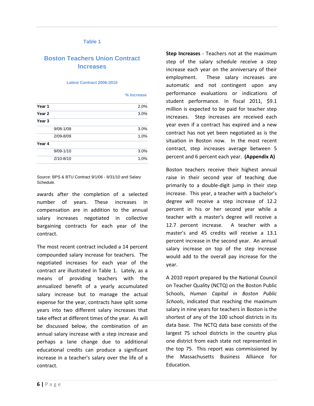#### **Table 1**

## **Boston Teachers Union Contract Increases**

#### **Latest Contract 2006-2010**

| % Increase |  |
|------------|--|
|            |  |

| Year 1            | 2.0% |
|-------------------|------|
| Year <sub>2</sub> | 3.0% |
| Year <sub>3</sub> |      |
| $9/08 - 1/09$     | 3.0% |
| 2/09-8/09         | 1.0% |
| Year 4            |      |
| $9/09 - 1/10$     | 3.0% |
| $2/10 - 8/10$     | 1.0% |
|                   |      |

Source: BPS & BTU Contract 9/1/06 - 8/31/10 and Salary Schedule.

awards after the completion of a selected number of years. These increases in compensation are in addition to the annual salary increases negotiated in collective bargaining contracts for each year of the contract.

The most recent contract included a 14 percent compounded salary increase for teachers. The negotiated increases for each year of the contract are illustrated in Table 1. Lately, as a means of providing teachers with the annualized benefit of a yearly accumulated salary increase but to manage the actual expense for the year, contracts have split some years into two different salary increases that take effect at different times of the year. As will be discussed below, the combination of an annual salary increase with a step increase and perhaps a lane change due to additional educational credits can produce a significant increase in a teacher's salary over the life of a contract.

**Step Increases** - Teachers not at the maximum step of the salary schedule receive a step increase each year on the anniversary of their employment. These salary increases are automatic and not contingent upon any performance evaluations or indications of student performance. In fiscal 2011, \$9.1 million is expected to be paid for teacher step increases. Step increases are received each year even if a contract has expired and a new contract has not yet been negotiated as is the situation in Boston now. In the most recent contract, step increases average between 5 percent and 6 percent each year. **(Appendix A)**

Boston teachers receive their highest annual raise in their second year of teaching due primarily to a double-digit jump in their step increase. This year, a teacher with a bachelor's degree will receive a step increase of 12.2 percent in his or her second year while a teacher with a master's degree will receive a 12.7 percent increase. A teacher with a master's and 45 credits will receive a 13.1 percent increase in the second year. An annual salary increase on top of the step increase would add to the overall pay increase for the year.

A 2010 report prepared by the National Council on Teacher Quality (NCTQ) on the Boston Public Schools, *Human Capital in Boston Public Schools*, indicated that reaching the maximum salary in nine years for teachers in Boston is the shortest of any of the 100 school districts in its data base. The NCTQ data base consists of the largest 75 school districts in the country plus one district from each state not represented in the top 75. This report was commissioned by the Massachusetts Business Alliance for Education.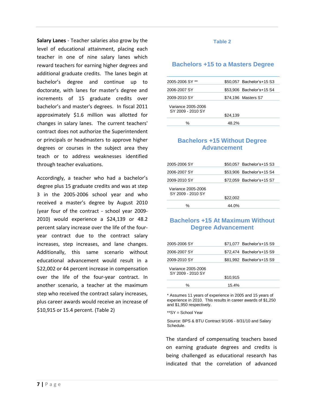**Salary Lanes** - Teacher salaries also grow by the level of educational attainment, placing each teacher in one of nine salary lanes which reward teachers for earning higher degrees and additional graduate credits. The lanes begin at bachelor's degree and continue up to doctorate, with lanes for master's degree and increments of 15 graduate credits over bachelor's and master's degrees. In fiscal 2011 approximately \$1.6 million was allotted for changes in salary lanes. The current teachers' contract does not authorize the Superintendent or principals or headmasters to approve higher degrees or courses in the subject area they teach or to address weaknesses identified through teacher evaluations.

Accordingly, a teacher who had a bachelor's degree plus 15 graduate credits and was at step 3 in the 2005-2006 school year and who received a master's degree by August 2010 (year four of the contract - school year 2009- 2010) would experience a \$24,139 or 48.2 percent salary increase over the life of the fouryear contract due to the contract salary increases, step increases, and lane changes. Additionally, this same scenario without educational advancement would result in a \$22,002 or 44 percent increase in compensation over the life of the four-year contract. In another scenario, a teacher at the maximum step who received the contract salary increases, plus career awards would receive an increase of \$10,915 or 15.4 percent. (Table 2)

#### **Table 2**

#### **Bachelors +15 to a Masters Degree**

| \$50.057 Bachelor's+15 S3 |
|---------------------------|
| \$53,906 Bachelor's+15 S4 |
| \$74,196 Masters S7       |
|                           |
|                           |
| \$24,139                  |
| 48.2%                     |
|                           |

#### **Bachelors +15 Without Degree Advancement**

| 2005-2006 SY                            | \$50.057 Bachelor's+15 S3 |
|-----------------------------------------|---------------------------|
| 2006-2007 SY                            | \$53.906 Bachelor's+15 S4 |
| 2009-2010 SY                            | \$72,059 Bachelor's+15 S7 |
| Variance 2005-2006<br>SY 2009 - 2010 SY | \$22,002                  |
| %                                       | 44.0%                     |

## **Bachelors +15 At Maximum Without Degree Advancement**

| 2005-2006 SY                            | \$71,077 Bachelor's+15 S9 |
|-----------------------------------------|---------------------------|
| 2006-2007 SY                            | \$72,474 Bachelor's+15 S9 |
| 2009-2010 SY                            | \$81,992 Bachelor's+15 S9 |
| Variance 2005-2006<br>SY 2009 - 2010 SY | \$10.915                  |
| ℅                                       | $15.4\%$                  |

\* Assumes 11 years of experience in 2005 and 15 years of experience in 2010. This results in career awards of \$1,250 and \$1,950 respectively.

\*\*SY = School Year

Source: BPS & BTU Contract 9/1/06 - 8/31/10 and Salary Schedule.

The standard of compensating teachers based on earning graduate degrees and credits is being challenged as educational research has indicated that the correlation of advanced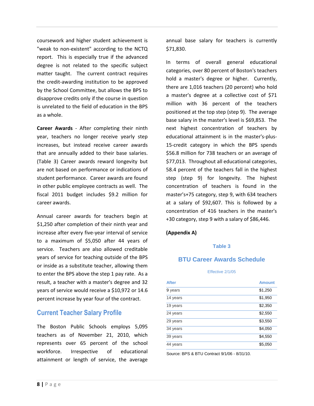coursework and higher student achievement is "weak to non-existent" according to the NCTQ report. This is especially true if the advanced degree is not related to the specific subject matter taught. The current contract requires the credit-awarding institution to be approved by the School Committee, but allows the BPS to disapprove credits only if the course in question is unrelated to the field of education in the BPS as a whole.

**Career Awards** - After completing their ninth year, teachers no longer receive yearly step increases, but instead receive career awards that are annually added to their base salaries. (Table 3) Career awards reward longevity but are not based on performance or indications of student performance. Career awards are found in other public employee contracts as well. The fiscal 2011 budget includes \$9.2 million for career awards.

Annual career awards for teachers begin at \$1,250 after completion of their ninth year and increase after every five-year interval of service to a maximum of \$5,050 after 44 years of service. Teachers are also allowed creditable years of service for teaching outside of the BPS or inside as a substitute teacher, allowing them to enter the BPS above the step 1 pay rate. As a result, a teacher with a master's degree and 32 years of service would receive a \$10,972 or 14.6 percent increase by year four of the contract.

## **Current Teacher Salary Profile**

The Boston Public Schools employs 5,095 teachers as of November 21, 2010, which represents over 65 percent of the school workforce. Irrespective of educational attainment or length of service, the average annual base salary for teachers is currently \$71,830.

In terms of overall general educational categories, over 80 percent of Boston's teachers hold a master's degree or higher. Currently, there are 1,016 teachers (20 percent) who hold a master's degree at a collective cost of \$71 million with 36 percent of the teachers positioned at the top step (step 9). The average base salary in the master's level is \$69,853. The next highest concentration of teachers by educational attainment is in the master's-plus-15-credit category in which the BPS spends \$56.8 million for 738 teachers or an average of \$77,013. Throughout all educational categories, 58.4 percent of the teachers fall in the highest step (step 9) for longevity. The highest concentration of teachers is found in the master's+75 category, step 9, with 634 teachers at a salary of \$92,607. This is followed by a concentration of 416 teachers in the master's +30 category, step 9 with a salary of \$86,446.

## **(Appendix A)**

#### **Table 3**

## **BTU Career Awards Schedule**

#### Effective 2/1/05

| <b>After</b> | <b>Amount</b> |
|--------------|---------------|
| 9 years      | \$1,250       |
| 14 years     | \$1,950       |
| 19 years     | \$2,350       |
| 24 years     | \$2,550       |
| 29 years     | \$3,550       |
| 34 years     | \$4,050       |
| 39 years     | \$4,550       |
| 44 years     | \$5,050       |

Source: BPS & BTU Contract 9/1/06 - 8/31/10.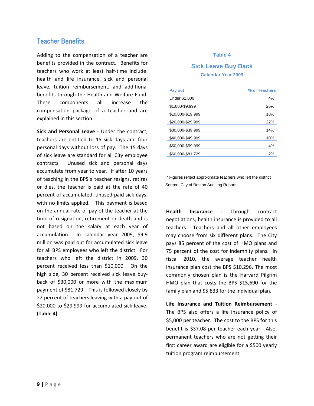## **Teacher Benefits**

Adding to the compensation of a teacher are benefits provided in the contract. Benefits for teachers who work at least half-time include: health and life insurance, sick and personal leave, tuition reimbursement, and additional benefits through the Health and Welfare Fund. These components all increase the compensation package of a teacher and are explained in this section.

**Sick and Personal Leave** - Under the contract, teachers are entitled to 15 sick days and four personal days without loss of pay. The 15 days of sick leave are standard for all City employee contracts. Unused sick and personal days accumulate from year to year. If after 10 years of teaching in the BPS a teacher resigns, retires or dies, the teacher is paid at the rate of 40 percent of accumulated, unused paid sick days, with no limits applied. This payment is based on the annual rate of pay of the teacher at the time of resignation, retirement or death and is not based on the salary at each year of accumulation. In calendar year 2009, \$9.9 million was paid out for accumulated sick leave for all BPS employees who left the district. For teachers who left the district in 2009, 30 percent received less than \$10,000. On the high side, 30 percent received sick leave buyback of \$30,000 or more with the maximum payment of \$81,729. This is followed closely by 22 percent of teachers leaving with a pay out of \$20,000 to \$29,999 for accumulated sick leave**. (Table 4)**

#### **Table 4**

## **Sick Leave Buy Back Calendar Year 2009**

| Pay out           | % of Teachers |
|-------------------|---------------|
| Under \$1,000     | 4%            |
| \$1,000-\$9,999   | 26%           |
| \$10,000-\$19,999 | 18%           |
| \$20,000-\$29,999 | 22%           |
| \$30,000-\$39,999 | 14%           |
| \$40,000-\$49,999 | 10%           |
| \$50,000-\$59,999 | 4%            |
| \$60,000-\$81,729 | 2%            |

\* Figures reflect approximate teachers who left the district Source: City of Boston Auditing Reports.

**Health Insurance -** Through contract negotiations, health insurance is provided to all teachers. Teachers and all other employees may choose from six different plans. The City pays 85 percent of the cost of HMO plans and 75 percent of the cost for indemnity plans. In fiscal 2010, the average teacher health insurance plan cost the BPS \$10,296. The most commonly chosen plan is the Harvard Pilgrim HMO plan that costs the BPS \$15,690 for the family plan and \$5,833 for the individual plan.

**Life Insurance and Tuition Reimbursement** - The BPS also offers a life insurance policy of \$5,000 per teacher. The cost to the BPS for this benefit is \$37.08 per teacher each year. Also, permanent teachers who are not getting their first career award are eligible for a \$500 yearly tuition program reimbursement.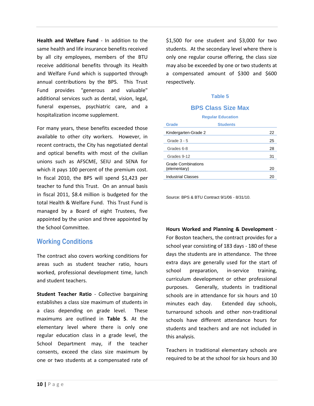**Health and Welfare Fund** - In addition to the same health and life insurance benefits received by all city employees, members of the BTU receive additional benefits through its Health and Welfare Fund which is supported through annual contributions by the BPS. This Trust Fund provides "generous and valuable" additional services such as dental, vision, legal, funeral expenses, psychiatric care, and a hospitalization income supplement.

For many years, these benefits exceeded those available to other city workers. However, in recent contracts, the City has negotiated dental and optical benefits with most of the civilian unions such as AFSCME, SEIU and SENA for which it pays 100 percent of the premium cost. In fiscal 2010, the BPS will spend \$1,423 per teacher to fund this Trust. On an annual basis in fiscal 2011, \$8.4 million is budgeted for the total Health & Welfare Fund. This Trust Fund is managed by a Board of eight Trustees, five appointed by the union and three appointed by the School Committee.

## **Working Conditions**

The contract also covers working conditions for areas such as student teacher ratio, hours worked, professional development time, lunch and student teachers.

**Student Teacher Ratio** - Collective bargaining establishes a class size maximum of students in a class depending on grade level. These maximums are outlined in **Table 5**. At the elementary level where there is only one regular education class in a grade level, the School Department may, if the teacher consents, exceed the class size maximum by one or two students at a compensated rate of \$1,500 for one student and \$3,000 for two students. At the secondary level where there is only one regular course offering, the class size may also be exceeded by one or two students at a compensated amount of \$300 and \$600 respectively.

#### **Table 5**

## **BPS Class Size Max**

| <b>Regular Education</b>                        |                 |  |
|-------------------------------------------------|-----------------|--|
| <b>Grade</b>                                    | <b>Students</b> |  |
| Kindergarten-Grade 2                            | 22              |  |
| Grade $3 - 5$                                   | 25              |  |
| Grades 6-8                                      | 28              |  |
| Grades 9-12                                     | 31              |  |
| <b>Grade Combinations</b><br>(elementary)<br>20 |                 |  |
| <b>Industrial Classes</b>                       | 20              |  |

Source: BPS & BTU Contract 9/1/06 - 8/31/10.

**Hours Worked and Planning & Development** - For Boston teachers, the contract provides for a school year consisting of 183 days - 180 of these days the students are in attendance. The three extra days are generally used for the start of school preparation, in-service training, curriculum development or other professional purposes. Generally, students in traditional schools are in attendance for six hours and 10 minutes each day. Extended day schools, turnaround schools and other non-traditional schools have different attendance hours for students and teachers and are not included in this analysis.

Teachers in traditional elementary schools are required to be at the school for six hours and 30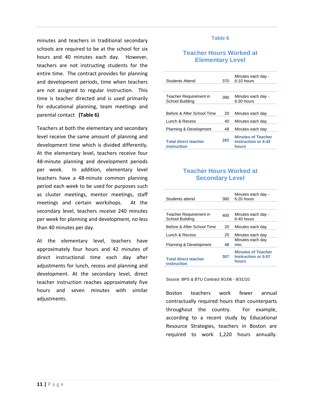minutes and teachers in traditional secondary schools are required to be at the school for six hours and 40 minutes each day. However, teachers are not instructing students for the entire time. The contract provides for planning and development periods, time when teachers are not assigned to regular instruction. This time is teacher directed and is used primarily for educational planning, team meetings and parental contact. **(Table 6)**

Teachers at both the elementary and secondary level receive the same amount of planning and development time which is divided differently. At the elementary level, teachers receive four 48-minute planning and development periods per week. In addition, elementary level teachers have a 48-minute common planning period each week to be used for purposes such as cluster meetings, mentor meetings, staff meetings and certain workshops. At the secondary level, teachers receive 240 minutes per week for planning and development, no less than 40 minutes per day.

At the elementary level, teachers have approximately four hours and 42 minutes of direct instructional time each day after adjustments for lunch, recess and planning and development. At the secondary level, direct teacher instruction reaches approximately five hours and seven minutes with similar adjustments.

#### **Table 6**

## **Teacher Hours Worked at Elementary Level**

| Students Attend                            | 370 | Minutes each day -<br>$6:10$ hours                               |
|--------------------------------------------|-----|------------------------------------------------------------------|
|                                            |     |                                                                  |
| Teacher Requirement in<br>School Building  | 390 | Minutes each day -<br>$6:30$ hours                               |
|                                            |     |                                                                  |
| Before & After School Time                 | 20  | Minutes each day                                                 |
| Lunch & Recess                             | 40  | Minutes each day                                                 |
| Planning & Development                     | 48  | Minutes each day                                                 |
| <b>Total direct teacher</b><br>instruction | 282 | <b>Minutes of Teacher</b><br><b>Instruction or 4:42</b><br>hours |

## **Teacher Hours Worked at Secondary Level**

| Students attend                            | 380 | Minutes each day -<br>6:20 hours                                 |
|--------------------------------------------|-----|------------------------------------------------------------------|
|                                            |     |                                                                  |
| Teacher Requirement in<br>School Building  | 400 | Minutes each day -<br>$6:40$ hours                               |
| Before & After School Time                 | 20  | Minutes each day                                                 |
| Lunch & Recess                             | 25  | Minutes each day                                                 |
| Planning & Development                     | 48  | Minutes each day<br>min.                                         |
| <b>Total direct teacher</b><br>instruction | 307 | <b>Minutes of Teacher</b><br><b>Instruction or 5:07</b><br>hours |

Source: BPS & BTU Contract 9/1/06 - 8/31/10.

Boston teachers work fewer annual contractually required hours than counterparts throughout the country. For example, according to a recent study by Educational Resource Strategies, teachers in Boston are required to work 1,220 hours annually.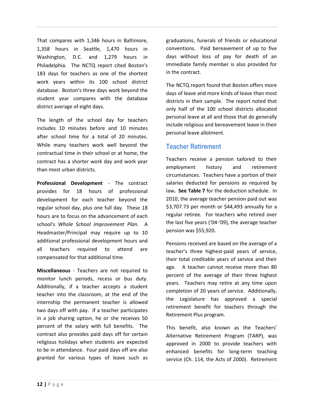That compares with 1,346 hours in Baltimore, 1,358 hours in Seattle, 1,470 hours in Washington, D.C. and 1,279 hours in Philadelphia. The NCTQ report cited Boston's 183 days for teachers as one of the shortest work years within its 100 school district database. Boston's three days work beyond the student year compares with the database district average of eight days.

The length of the school day for teachers includes 10 minutes before and 10 minutes after school time for a total of 20 minutes. While many teachers work well beyond the contractual time in their school or at home, the contract has a shorter work day and work year than most urban districts.

**Professional Development** - The contract provides for 18 hours of professional development for each teacher beyond the regular school day, plus one full day. These 18 hours are to focus on the advancement of each school's *Whole School Improvement Plan.* A Headmaster/Principal may require up to 10 additional professional development hours and all teachers required to attend are compensated for that additional time.

**Miscellaneous** - Teachers are not required to monitor lunch periods, recess or bus duty. Additionally, if a teacher accepts a student teacher into the classroom, at the end of the internship the permanent teacher is allowed two days off with pay. If a teacher participates in a job sharing option, he or she receives 50 percent of the salary with full benefits. The contract also provides paid days off for certain religious holidays when students are expected to be in attendance. Four paid days off are also granted for various types of leave such as graduations, funerals of friends or educational conventions. Paid bereavement of up to five days without loss of pay for death of an immediate family member is also provided for in the contract.

The NCTQ report found that Boston offers more days of leave and more kinds of leave than most districts in their sample. The report noted that only half of the 100 school districts allocated personal leave at all and those that do generally include religious and bereavement leave in their personal leave allotment.

## **Teacher Retirement**

Teachers receive a pension tailored to their employment history and retirement circumstances. Teachers have a portion of their salaries deducted for pensions as required by law**. See Table 7** for the deduction schedule. In 2010, the average teacher pension paid out was \$3,707.73 per month or \$44,493 annually for a regular retiree. For teachers who retired over the last five years ('04-'09), the average teacher pension was \$55,920.

Pensions received are based on the average of a teacher's three highest-paid years of service, their total creditable years of service and their age. A teacher cannot receive more than 80 percent of the average of their three highest years. Teachers may retire at any time upon completion of 20 years of service. Additionally, the Legislature has approved a special retirement benefit for teachers through the Retirement Plus program.

This benefit, also known as the Teachers' Alternative Retirement Program (TARP), was approved in 2000 to provide teachers with enhanced benefits for long-term teaching service (Ch. 114, the Acts of 2000). Retirement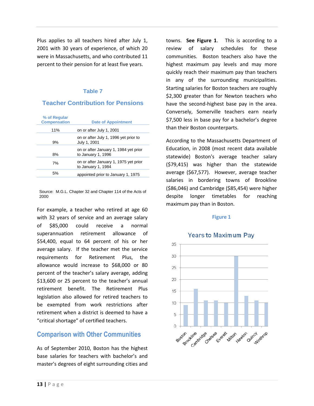Plus applies to all teachers hired after July 1, 2001 with 30 years of experience, of which 20 were in Massachusetts, and who contributed 11 percent to their pension for at least five years.

## **Table 7**

## **Teacher Contribution for Pensions**

| % of Regular<br><b>Compensation</b> | <b>Date of Appointment</b>                                  |
|-------------------------------------|-------------------------------------------------------------|
| 11%                                 | on or after July 1, 2001                                    |
| 9%                                  | on or after July 1, 1996 yet prior to<br>July 1, 2001       |
| 8%                                  | on or after January 1, 1984 yet prior<br>to January 1, 1996 |
| 7%                                  | on or after January 1, 1975 yet prior<br>to January 1, 1984 |
| 5%                                  | appointed prior to January 1, 1975                          |

Source: M.G.L. Chapter 32 and Chapter 114 of the Acts of 2000

For example, a teacher who retired at age 60 with 32 years of service and an average salary of \$85,000 could receive a normal superannuation retirement allowance of \$54,400, equal to 64 percent of his or her average salary. If the teacher met the service requirements for Retirement Plus, the allowance would increase to \$68,000 or 80 percent of the teacher's salary average, adding \$13,600 or 25 percent to the teacher's annual retirement benefit. The Retirement Plus legislation also allowed for retired teachers to be exempted from work restrictions after retirement when a district is deemed to have a "critical shortage" of certified teachers.

## **Comparison with Other Communities**

As of September 2010, Boston has the highest base salaries for teachers with bachelor's and master's degrees of eight surrounding cities and towns. **See Figure 1**. This is according to a review of salary schedules for these communities. Boston teachers also have the highest maximum pay levels and may more quickly reach their maximum pay than teachers in any of the surrounding municipalities. Starting salaries for Boston teachers are roughly \$2,300 greater than for Newton teachers who have the second-highest base pay in the area. Conversely, Somerville teachers earn nearly \$7,500 less in base pay for a bachelor's degree than their Boston counterparts.

According to the Massachusetts Department of Education, in 2008 (most recent data available statewide) Boston's average teacher salary (\$79,415) was higher than the statewide average (\$67,577). However, average teacher salaries in bordering towns of Brookline (\$86,046) and Cambridge (\$85,454) were higher despite longer timetables for reaching maximum pay than in Boston.

#### **Figure 1**



#### **Years to Maximum Pav**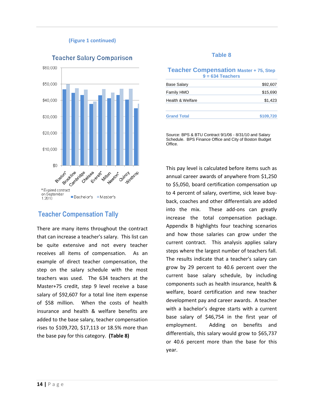#### **(Figure 1 continued)**



#### **Teacher Salary Comparison**

## **Teacher Compensation Tally**

There are many items throughout the contract that can increase a teacher's salary. This list can be quite extensive and not every teacher receives all items of compensation. As an example of direct teacher compensation, the step on the salary schedule with the most teachers was used. The 634 teachers at the Master+75 credit, step 9 level receive a base salary of \$92,607 for a total line item expense of \$58 million. When the costs of health insurance and health & welfare benefits are added to the base salary, teacher compensation rises to \$109,720, \$17,113 or 18.5% more than the base pay for this category. **(Table 8)**

#### **Table 8**

#### **Teacher Compensation Master + 75, Step 9 = 634 Teachers**

| Base Salary        | \$92,607  |
|--------------------|-----------|
| Family HMO         | \$15,690  |
| Health & Welfare   | \$1,423   |
| <b>Grand Total</b> | \$109,720 |

Source: BPS & BTU Contract 9/1/06 - 8/31/10 and Salary Schedule. BPS Finance Office and City of Boston Budget Office.

This pay level is calculated before items such as annual career awards of anywhere from \$1,250 to \$5,050, board certification compensation up to 4 percent of salary, overtime, sick leave buyback, coaches and other differentials are added into the mix. These add-ons can greatly increase the total compensation package. Appendix B highlights four teaching scenarios and how those salaries can grow under the current contract. This analysis applies salary steps where the largest number of teachers fall. The results indicate that a teacher's salary can grow by 29 percent to 40.6 percent over the current base salary schedule, by including components such as health insurance, health & welfare, board certification and new teacher development pay and career awards. A teacher with a bachelor's degree starts with a current base salary of \$46,754 in the first year of employment. Adding on benefits and differentials, this salary would grow to \$65,737 or 40.6 percent more than the base for this year.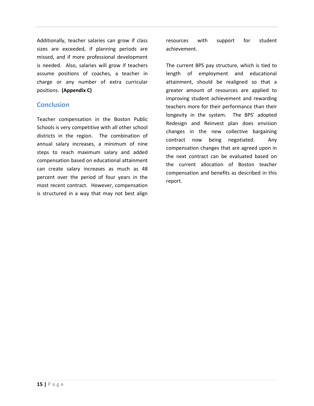Additionally, teacher salaries can grow if class sizes are exceeded, if planning periods are missed, and if more professional development is needed. Also, salaries will grow if teachers assume positions of coaches, a teacher in charge or any number of extra curricular positions. **(Appendix C)**

## **Conclusion**

Teacher compensation in the Boston Public Schools is very competitive with all other school districts in the region. The combination of annual salary increases, a minimum of nine steps to reach maximum salary and added compensation based on educational attainment can create salary increases as much as 48 percent over the period of four years in the most recent contract. However, compensation is structured in a way that may not best align

resources with support for student achievement.

The current BPS pay structure, which is tied to length of employment and educational attainment, should be realigned so that a greater amount of resources are applied to improving student achievement and rewarding teachers more for their performance than their longevity in the system. The BPS' adopted Redesign and Reinvest plan does envision changes in the new collective bargaining contract now being negotiated. Any compensation changes that are agreed upon in the next contract can be evaluated based on the current allocation of Boston teacher compensation and benefits as described in this report.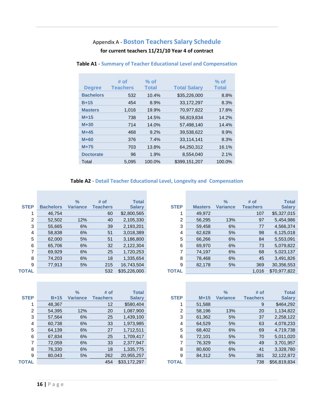## Appendix A - **Boston Teachers Salary Schedule**

## **for current teachers 11/21/10 Year 4 of contract**

| <b>Degree</b>    | # of<br><b>Teachers</b> | $%$ of<br><b>Total</b> | <b>Total Salary</b> | $%$ of<br><b>Total</b> |
|------------------|-------------------------|------------------------|---------------------|------------------------|
|                  |                         |                        |                     |                        |
| <b>Bachelors</b> | 532                     | 10.4%                  | \$35,226,000        | 8.8%                   |
| $B+15$           | 454                     | 8.9%                   | 33,172,297          | 8.3%                   |
| <b>Masters</b>   | 1,016                   | 19.9%                  | 70,977,822          | 17.8%                  |
| $M+15$           | 738                     | 14.5%                  | 56,819,834          | 14.2%                  |
| $M+30$           | 714                     | 14.0%                  | 57,498,140          | 14.4%                  |
| $M+45$           | 468                     | 9.2%                   | 39,538,622          | 9.9%                   |
| $M+60$           | 376                     | 7.4%                   | 33,114,141          | 8.3%                   |
| $M+75$           | 703                     | 13.8%                  | 64,250,312          | 16.1%                  |
| <b>Doctorate</b> | 96                      | 1.9%                   | 8,554,040           | 2.1%                   |
| Total            | 5.095                   | 100.0%                 | \$399,151,207       | 100.0%                 |

#### **Table A1** - **Summary of Teacher Educational Level and Compensation**

#### **Table A2** - **Detail Teacher Educational Level, Longevity and Compensation**

|             |                  | $\frac{9}{6}$   | # of            | <b>Total</b>  |                |                | $\frac{9}{6}$   | # of            | <b>Total</b>  |
|-------------|------------------|-----------------|-----------------|---------------|----------------|----------------|-----------------|-----------------|---------------|
| <b>STEP</b> | <b>Bachelors</b> | <b>Variance</b> | <b>Teachers</b> | <b>Salary</b> | <b>STEP</b>    | <b>Masters</b> | <b>Variance</b> | <b>Teachers</b> | <b>Salary</b> |
|             | 46.754           |                 | 60              | \$2,800,565   |                | 49,972         |                 | 107             | \$5,327,015   |
| 2           | 52,502           | 12%             | 40              | 2,105,330     | $\overline{2}$ | 56,295         | 13%             | 97              | 5,454,986     |
| 3           | 55,665           | 6%              | 39              | 2,193,201     | 3              | 59,458         | 6%              | 77              | 4,566,374     |
| 4           | 58,838           | 6%              | 51              | 3,018,389     | 4              | 62,628         | 5%              | 98              | 6,125,018     |
| 5           | 62,000           | 5%              | 51              | 3,186,800     | 5              | 66,266         | 6%              | 84              | 5,553,091     |
| 6           | 65,706           | 6%              | 32              | 2,122,304     | 6              | 69,970         | 6%              | 73              | 5,079,822     |
|             | 69,929           | 6%              | 25              | 1,720,253     |                | 74,197         | 6%              | 68              | 5,023,137     |
| 8           | 74,203           | 6%              | 18              | 1,335,654     | 8              | 78,468         | 6%              | 45              | 3,491,826     |
| 9           | 77,913           | 5%              | 215             | 16,743,504    | 9              | 82,178         | 5%              | 369             | 30,356,553    |
| TOTAL       |                  |                 | 532             | \$35,226,000  | <b>TOTAL</b>   |                |                 | 1,016           | \$70,977,822  |

|              |        | $\frac{9}{6}$   | # of            | <b>Total</b>  |                |        | $\frac{9}{6}$   | # of            | <b>Total</b>  |
|--------------|--------|-----------------|-----------------|---------------|----------------|--------|-----------------|-----------------|---------------|
| <b>STEP</b>  | $B+15$ | <b>Variance</b> | <b>Teachers</b> | <b>Salary</b> | <b>STEP</b>    | $M+15$ | <b>Variance</b> | <b>Teachers</b> | <b>Salary</b> |
|              | 48,367 |                 | 12              | \$580,404     |                | 51,588 |                 | 9               | \$464,292     |
| 2            | 54,395 | 12%             | 20              | 1,087,900     | $\overline{2}$ | 58,196 | 13%             | 20              | 1,134,822     |
| 3            | 57,564 | 6%              | 25              | 1,439,100     | 3              | 61,362 | 5%              | 37              | 2,258,122     |
| 4            | 60,738 | 6%              | 33              | 1,973,985     | 4              | 64.529 | 5%              | 63              | 4,078,233     |
| 5            | 64,139 | 6%              | 27              | 1,712,511     | 5              | 68,402 | 6%              | 69              | 4,719,738     |
| 6            | 67.834 | 6%              | 25              | 1,709,417     | 6              | 72,101 | 5%              | 70              | 5,011,020     |
|              | 72,059 | 6%              | 33              | 2,377,947     | 7              | 76,329 | 6%              | 49              | 3,701,957     |
| 8            | 76,330 | 6%              | 18              | 1,335,775     | 8              | 80,600 | 6%              | 41              | 3,328,780     |
| 9            | 80,043 | 5%              | 262             | 20,955,257    | 9              | 84,312 | 5%              | 381             | 32,122,872    |
| <b>TOTAL</b> |        |                 | 454             | \$33,172,297  | <b>TOTAL</b>   |        |                 | 738             | \$56,819,834  |

| ົ     | 52,502 | 12% | 40  | 2,105,330    | 2            | 56,295 | 13% | 97    | 5,454,986    |
|-------|--------|-----|-----|--------------|--------------|--------|-----|-------|--------------|
| 3     | 55,665 | 6%  | 39  | 2,193,201    | 3            | 59,458 | 6%  | 77    | 4,566,374    |
| 4     | 58,838 | 6%  | 51  | 3,018,389    | 4            | 62,628 | 5%  | 98    | 6,125,018    |
| 5     | 62,000 | 5%  | 51  | 3,186,800    | 5            | 66,266 | 6%  | 84    | 5,553,091    |
| 6     | 65,706 | 6%  | 32  | 2,122,304    | 6            | 69,970 | 6%  | 73    | 5,079,822    |
|       | 69,929 | 6%  | 25  | 1,720,253    |              | 74,197 | 6%  | 68    | 5,023,137    |
| 8     | 74,203 | 6%  | 18  | 1,335,654    | 8            | 78,468 | 6%  | 45    | 3,491,826    |
| 9     | 77,913 | 5%  | 215 | 16,743,504   | 9            | 82,178 | 5%  | 369   | 30,356,553   |
| TOTAL |        |     | 532 | \$35,226,000 | <b>TOTAL</b> |        |     | 1,016 | \$70,977,822 |
|       |        |     |     |              |              |        |     |       |              |
|       |        |     |     |              |              |        |     |       |              |

**Total Salary**

|    |        | $\frac{9}{6}$ | # of     | <b>Total</b>  |                |        | $\frac{9}{6}$   | # of            | <b>Total</b>  |
|----|--------|---------------|----------|---------------|----------------|--------|-----------------|-----------------|---------------|
|    | $B+15$ | Variance      | Teachers | <b>Salary</b> | <b>STEP</b>    | $M+15$ | <b>Variance</b> | <b>Teachers</b> | <b>Salary</b> |
|    | 48,367 |               | 12       | \$580,404     |                | 51,588 |                 | 9               | \$464,292     |
| 2  | 54,395 | 12%           | 20       | 1,087,900     | $\overline{2}$ | 58,196 | 13%             | 20              | 1,134,822     |
| 3  | 57.564 | 6%            | 25       | 1,439,100     | 3              | 61,362 | 5%              | 37              | 2,258,122     |
| 4  | 60,738 | 6%            | 33       | 1,973,985     | 4              | 64,529 | 5%              | 63              | 4,078,233     |
| 5  | 64,139 | 6%            | 27       | 1,712,511     | 5              | 68,402 | 6%              | 69              | 4,719,738     |
| 6. | 67,834 | 6%            | 25       | 1,709,417     | 6              | 72,101 | 5%              | 70              | 5,011,020     |
| 7  | 72,059 | 6%            | 33       | 2,377,947     | 7              | 76,329 | 6%              | 49              | 3,701,957     |
| 8  | 76,330 | 6%            | 18       | 1,335,775     | 8              | 80,600 | 6%              | 41              | 3,328,780     |
| 9  | 80,043 | 5%            | 262      | 20,955,257    | 9              | 84,312 | 5%              | 381             | 32,122,872    |
|    |        |               | 454      | \$33,172,297  | <b>TOTAL</b>   |        |                 | 738             | \$56,819,834  |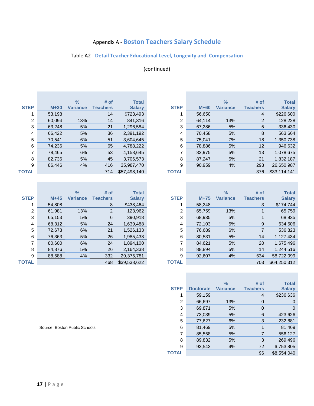# Appendix A - **Boston Teachers Salary Schedule**

## Table A2 - **Detail Teacher Educational Level, Longevity and Compensation**

## (continued)

|             |        | $\%$            | # of            | <b>Total</b>  |
|-------------|--------|-----------------|-----------------|---------------|
| <b>STEP</b> | $M+30$ | <b>Variance</b> | <b>Teachers</b> | <b>Salary</b> |
| 1           | 53,198 |                 | 14              | \$723,493     |
| 2           | 60,094 | 13%             | 14              | 841,316       |
| 3           | 63,248 | 5%              | 21              | 1,296,584     |
| 4           | 66,422 | 5%              | 36              | 2,391,192     |
| 5           | 70,541 | 6%              | 51              | 3.604.645     |
| 6           | 74,236 | 5%              | 65              | 4,788,222     |
| 7           | 78,465 | 6%              | 53              | 4,158,645     |
| 8           | 82,736 | 5%              | 45              | 3,706,573     |
| 9           | 86,446 | 4%              | 416             | 35,987,470    |
| ΓΟΤΑL       |        |                 | 714             | \$57.498.140  |

| w |  |  |
|---|--|--|
| v |  |  |

|              |        | $\frac{0}{0}$   | # of           | <b>Total</b>  |                |        | $\frac{9}{6}$   | # of            | <b>Total</b>  |
|--------------|--------|-----------------|----------------|---------------|----------------|--------|-----------------|-----------------|---------------|
| <b>STEP</b>  | $M+45$ | <b>Variance</b> | Teachers       | <b>Salary</b> | <b>STEP</b>    | $M+75$ | <b>Variance</b> | <b>Teachers</b> | <b>Salary</b> |
|              | 54.808 |                 | 8              | \$438,464     |                | 58,248 |                 | 3               | \$174,744     |
| 2            | 61,981 | 13%             | $\overline{2}$ | 123,962       | $\overline{2}$ | 65,759 | 13%             |                 | 65,759        |
| 3            | 65,153 | 5%              | 6              | 390,918       | 3              | 68,935 | 5%              |                 | 68,935        |
| 4            | 68.312 | 5%              | 24             | 1,639,488     | 4              | 72,103 | 5%              | 9               | 634,506       |
| 5            | 72,673 | 6%              | 21             | 1,526,133     | 5              | 76,689 | 6%              |                 | 536,823       |
| 6            | 76,363 | 5%              | 26             | 1,985,438     | 6              | 80,531 | 5%              | 14              | 1,127,434     |
|              | 80,600 | 6%              | 24             | 1,894,100     | 7              | 84,621 | 5%              | 20              | 1,675,496     |
| 8            | 84.876 | 5%              | 26             | 2,164,338     | 8              | 88,894 | 5%              | 14              | 1,244,516     |
| 9            | 88,588 | 4%              | 332            | 29,375,781    | 9              | 92,607 | 4%              | 634             | 58,722,099    |
| <b>TOTAL</b> |        |                 | 468            | \$39,538,622  | <b>TOTAL</b>   |        |                 | 703             | \$64,250,312  |
|              |        |                 |                |               |                |        |                 |                 |               |

|             |        | $\frac{9}{6}$   | # of            | <b>Total</b>  |              |        | $\frac{9}{6}$   | # of            | <b>Total</b>  |
|-------------|--------|-----------------|-----------------|---------------|--------------|--------|-----------------|-----------------|---------------|
| <b>STEP</b> | $M+30$ | <b>Variance</b> | <b>Teachers</b> | <b>Salary</b> | <b>STEP</b>  | $M+60$ | <b>Variance</b> | <b>Teachers</b> | <b>Salary</b> |
|             | 53,198 |                 | 14              | \$723,493     |              | 56,650 |                 | 4               | \$226,600     |
| 2           | 60,094 | 13%             | 14              | 841,316       | 2            | 64,114 | 13%             | 2               | 128,228       |
| 3           | 63,248 | 5%              | 21              | 1,296,584     | 3            | 67,286 | 5%              | 5               | 336,430       |
| 4           | 66,422 | 5%              | 36              | 2,391,192     | 4            | 70,458 | 5%              | 8               | 563,664       |
| 5           | 70.541 | 6%              | 51              | 3,604,645     | 5            | 75,041 | 7%              | 18              | 1,350,738     |
| 6           | 74,236 | 5%              | 65              | 4,788,222     | 6            | 78,886 | 5%              | 12              | 946,632       |
|             | 78,465 | 6%              | 53              | 4,158,645     |              | 82,975 | 5%              | 13              | 1,078,675     |
| 8           | 82,736 | 5%              | 45              | 3,706,573     | 8            | 87,247 | 5%              | 21              | 1,832,187     |
| 9           | 86.446 | 4%              | 416             | 35,987,470    | 9            | 90,959 | 4%              | 293             | 26,650,987    |
| TOTAL       |        |                 | 714             | \$57,498,140  | <b>TOTAL</b> |        |                 | 376             | \$33,114,141  |
|             |        |                 |                 |               |              |        |                 |                 |               |

|   |        | $\frac{9}{6}$   | # of     | <b>Total</b>  |                |        | $\frac{9}{6}$   | # of            | <b>Total</b>  |
|---|--------|-----------------|----------|---------------|----------------|--------|-----------------|-----------------|---------------|
|   | $M+45$ | <b>Variance</b> | Teachers | <b>Salary</b> | <b>STEP</b>    | $M+75$ | <b>Variance</b> | <b>Teachers</b> | <b>Salary</b> |
|   | 54,808 |                 | 8        | \$438,464     |                | 58,248 |                 | 3               | \$174,744     |
| 2 | 61,981 | 13%             | 2        | 123,962       | $\overline{2}$ | 65,759 | 13%             |                 | 65,759        |
| 3 | 65,153 | 5%              | 6        | 390,918       | 3              | 68,935 | 5%              |                 | 68,935        |
| 4 | 68,312 | 5%              | 24       | 1,639,488     | 4              | 72,103 | 5%              | 9               | 634,506       |
| 5 | 72,673 | 6%              | 21       | 1,526,133     | 5              | 76,689 | 6%              |                 | 536,823       |
| 6 | 76,363 | 5%              | 26       | 1,985,438     | 6              | 80,531 | 5%              | 14              | 1,127,434     |
| 7 | 80,600 | 6%              | 24       | 1,894,100     | 7              | 84,621 | 5%              | 20              | 1,675,496     |
| 8 | 84,876 | 5%              | 26       | 2,164,338     | 8              | 88,894 | 5%              | 14              | 1,244,516     |
| 9 | 88,588 | 4%              | 332      | 29,375,781    | 9              | 92,607 | 4%              | 634             | 58,722,099    |
|   |        |                 | 468      | \$39,538,622  | <b>TOTAL</b>   |        |                 | 703             | \$64,250,312  |

|             |                  | $\%$            | # of            | <b>Total</b>  |
|-------------|------------------|-----------------|-----------------|---------------|
| <b>STEP</b> | <b>Doctorate</b> | <b>Variance</b> | <b>Teachers</b> | <b>Salary</b> |
| 1           | 59,159           |                 | 4               | \$236,636     |
| 2           | 66,697           | 13%             | 0               | 0             |
| 3           | 69,871           | 5%              | 0               | 0             |
| 4           | 73,039           | 5%              | 6               | 423,626       |
| 5           | 77,627           | 6%              | 3               | 232,881       |
| 6           | 81,469           | 5%              | 1               | 81,469        |
| 7           | 85,558           | 5%              | 7               | 556,127       |
| 8           | 89,832           | 5%              | 3               | 269,496       |
| 9           | 93,543           | 4%              | 72              | 6,753,805     |
| TOTAL       |                  |                 | 96              | \$8,554,040   |
|             |                  |                 |                 |               |

Source: Boston Public Schools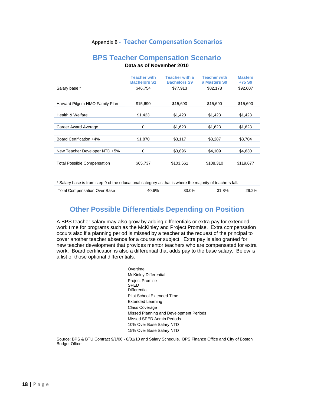## Appendix B **- Teacher Compensation Scenarios**

## **BPS Teacher Compensation Scenario Data as of November 2010**

|                                    | <b>Teacher with</b><br><b>Bachelors S1</b> | <b>Teacher with a</b><br><b>Bachelors S9</b> | <b>Teacher with</b><br>a Masters S9 | <b>Masters</b><br>+75 S9 |
|------------------------------------|--------------------------------------------|----------------------------------------------|-------------------------------------|--------------------------|
| Salary base *                      | \$46,754                                   | \$77.913                                     | \$82,178                            | \$92,607                 |
|                                    |                                            |                                              |                                     |                          |
| Harvard Pilgrim HMO Family Plan    | \$15,690                                   | \$15,690                                     | \$15,690                            | \$15,690                 |
| Health & Welfare                   | \$1,423                                    | \$1,423                                      | \$1,423                             | \$1,423                  |
|                                    |                                            |                                              |                                     |                          |
| Career Award Average               | 0                                          | \$1,623                                      | \$1,623                             | \$1,623                  |
|                                    |                                            |                                              |                                     |                          |
| Board Certification +4%            | \$1,870                                    | \$3,117                                      | \$3,287                             | \$3,704                  |
|                                    |                                            |                                              |                                     |                          |
| New Teacher Developer NTD +5%      | $\mathbf 0$                                | \$3,896                                      | \$4.109                             | \$4,630                  |
|                                    |                                            |                                              |                                     |                          |
| <b>Total Possible Compensation</b> | \$65,737                                   | \$103,661                                    | \$108,310                           | \$119,677                |
|                                    |                                            |                                              |                                     |                          |

\* Salary base is from step 9 of the educational category as that is where the majority of teachers fall.

| Over Base<br>Compensation ( '<br>' otal C | 6% | 0%<br> | ററ<br>. .<br>- | 2%<br>29<br>- J.Z |
|-------------------------------------------|----|--------|----------------|-------------------|
|                                           |    |        |                |                   |

# **Other Possible Differentials Depending on Position**

A BPS teacher salary may also grow by adding differentials or extra pay for extended work time for programs such as the McKinley and Project Promise. Extra compensation occurs also if a planning period is missed by a teacher at the request of the principal to cover another teacher absence for a course or subject. Extra pay is also granted for new teacher development that provides mentor teachers who are compensated for extra work. Board certification is also a differential that adds pay to the base salary. Below is a list of those optional differentials.

> Overtime McKinley Differential Project Promise SPED **Differential** Pilot School Extended Time Extended Learning Class Coverage Missed Planning and Development Periods Missed SPED Admin Periods 10% Over Base Salary NTD 15% Over Base Salary NTD

Source: BPS & BTU Contract 9/1/06 - 8/31/10 and Salary Schedule. BPS Finance Office and City of Boston Budget Office.